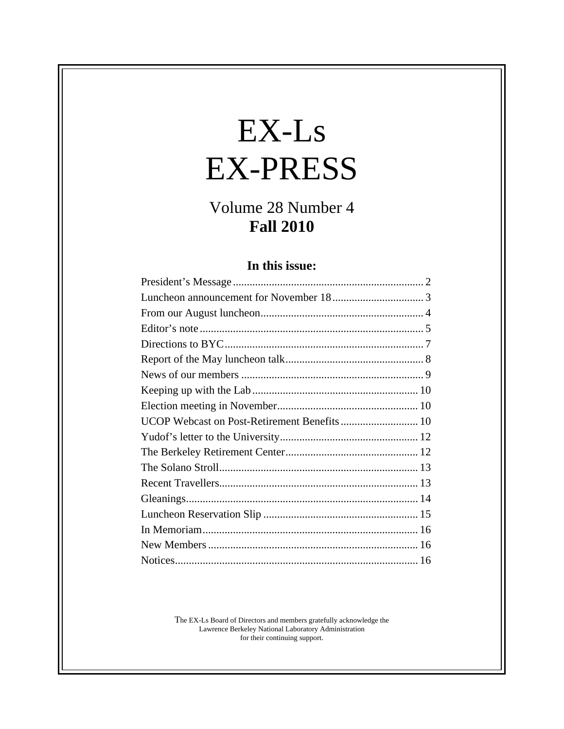# $EX-Ls$ EX-PRESS

# Volume 28 Number 4<br>Fall 2010 **Fall 2010**

#### **In this issue:**

| UCOP Webcast on Post-Retirement Benefits  10 |  |
|----------------------------------------------|--|
|                                              |  |
|                                              |  |
|                                              |  |
|                                              |  |
|                                              |  |
|                                              |  |
|                                              |  |
| New Members                                  |  |
|                                              |  |

The EX-Ls Board of Directors and members gratefully acknowledge the Lawrence Berkeley National Laboratory Administration for their continuing support.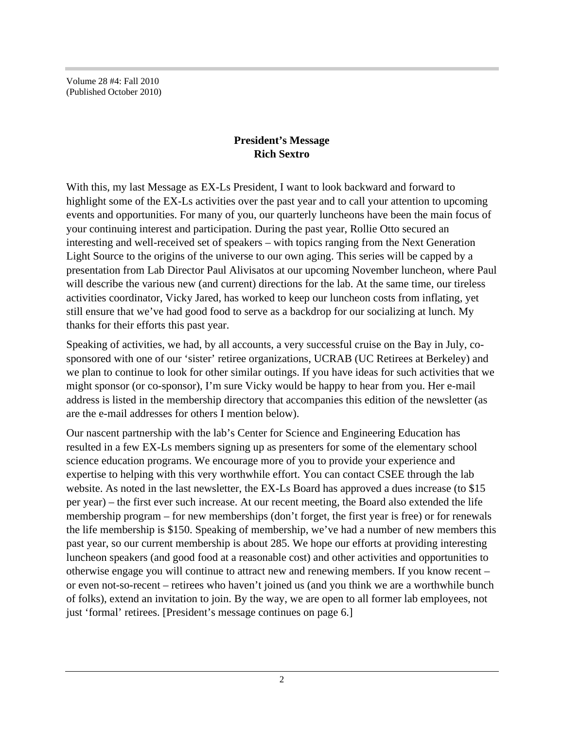Volume 28 #4: Fall 2010 (Published October 2010)

#### **President's Message Rich Sextro**

With this, my last Message as EX-Ls President, I want to look backward and forward to highlight some of the EX-Ls activities over the past year and to call your attention to upcoming events and opportunities. For many of you, our quarterly luncheons have been the main focus of your continuing interest and participation. During the past year, Rollie Otto secured an interesting and well-received set of speakers – with topics ranging from the Next Generation Light Source to the origins of the universe to our own aging. This series will be capped by a presentation from Lab Director Paul Alivisatos at our upcoming November luncheon, where Paul will describe the various new (and current) directions for the lab. At the same time, our tireless activities coordinator, Vicky Jared, has worked to keep our luncheon costs from inflating, yet still ensure that we've had good food to serve as a backdrop for our socializing at lunch. My thanks for their efforts this past year.

Speaking of activities, we had, by all accounts, a very successful cruise on the Bay in July, co sponsored with one of our 'sister' retiree organizations, UCRAB (UC Retirees at Berkeley) and we plan to continue to look for other similar outings. If you have ideas for such activities that we might sponsor (or co-sponsor), I'm sure Vicky would be happy to hear from you. Her e-mail address is listed in the membership directory that accompanies this edition of the newsletter (as are the e-mail addresses for others I mention below).

Our nascent partnership with the lab's Center for Science and Engineering Education has resulted in a few EX-Ls members signing up as presenters for some of the elementary school science education programs. We encourage more of you to provide your experience and expertise to helping with this very worthwhile effort. You can contact CSEE through the lab website. As noted in the last newsletter, the EX-Ls Board has approved a dues increase (to \$15 per year) – the first ever such increase. At our recent meeting, the Board also extended the life membership program – for new memberships (don't forget, the first year is free) or for renewals the life membership is \$150. Speaking of membership, we've had a number of new members this past year, so our current membership is about 285. We hope our efforts at providing interesting luncheon speakers (and good food at a reasonable cost) and other activities and opportunities to otherwise engage you will continue to attract new and renewing members. If you know recent – or even not-so-recent – retirees who haven't joined us (and you think we are a worthwhile bunch of folks), extend an invitation to join. By the way, we are open to all former lab employees, not just 'formal' retirees. [President's message continues on page 6.]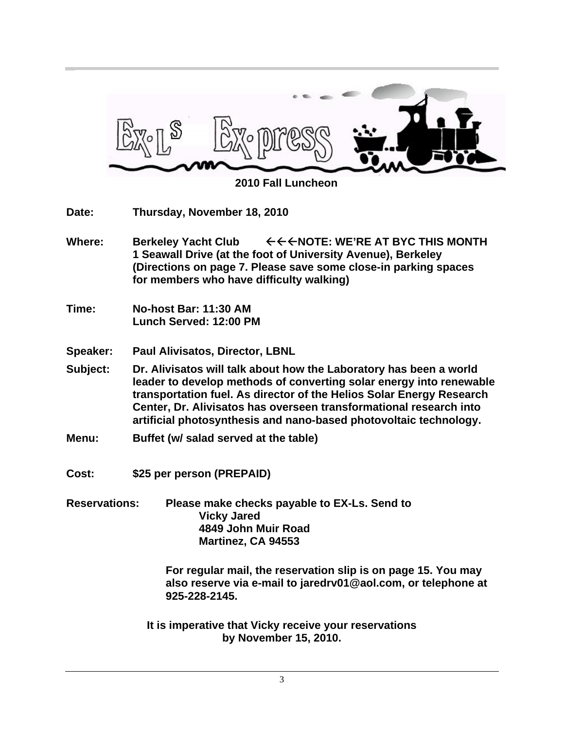

 **2010 Fall Luncheon**

| Date:  | Thursday, November 18, 2010                                                                                                                                             |  |  |
|--------|-------------------------------------------------------------------------------------------------------------------------------------------------------------------------|--|--|
| Where: | $\epsilon$ $\epsilon$ $\epsilon$ $\epsilon$ note: we're at byc this month<br><b>Berkeley Yacht Club</b><br>1 Seawall Drive (at the foot of University Avenue), Berkeley |  |  |
|        | (Directions on page 7. Please save some close-in parking spaces                                                                                                         |  |  |

**for members who have difficulty walking)**

- **Time: No-host Bar: 11:30 AM Lunch Served: 12:00 PM**
- **Speaker: Paul Alivisatos, Director, LBNL**
- **Subject: Dr. Alivisatos will talk about how the Laboratory has been a world leader to develop methods of converting solar energy into renewable transportation fuel. As director of the Helios Solar Energy Research Center, Dr. Alivisatos has overseen transformational research into artificial photosynthesis and nano-based photovoltaic technology.**
- **Menu: Buffet (w/ salad served at the table)**
- **Cost: \$25 per person (PREPAID)**
- **Reservations: Please make checks payable to EX-Ls. Send to Vicky Jared 4849 John Muir Road Martinez, CA 94553**

**For regular mail, the reservation slip is on page 15. You may also reserve via e-mail to jaredrv01@aol.com, or telephone at 925-228-2145.**

**It is imperative that Vicky receive your reservations by November 15, 2010.**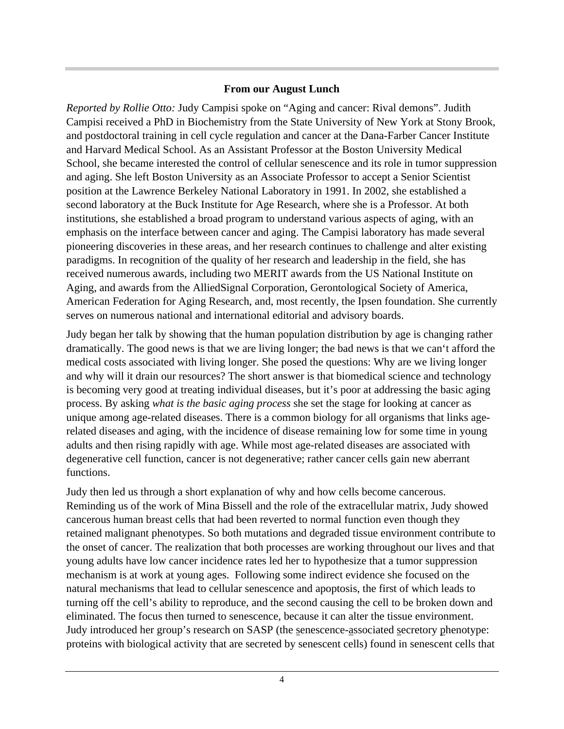#### **From our August Lunch**

*Reported by Rollie Otto:* Judy Campisi spoke on "Aging and cancer: Rival demons". Judith Campisi received a PhD in Biochemistry from the State University of New York at Stony Brook, and postdoctoral training in cell cycle regulation and cancer at the Dana-Farber Cancer Institute and Harvard Medical School. As an Assistant Professor at the Boston University Medical School, she became interested the control of cellular senescence and its role in tumor suppression and aging. She left Boston University as an Associate Professor to accept a Senior Scientist position at the Lawrence Berkeley National Laboratory in 1991. In 2002, she established a second laboratory at the Buck Institute for Age Research, where she is a Professor. At both institutions, she established a broad program to understand various aspects of aging, with an emphasis on the interface between cancer and aging. The Campisi laboratory has made several pioneering discoveries in these areas, and her research continues to challenge and alter existing paradigms. In recognition of the quality of her research and leadership in the field, she has received numerous awards, including two MERIT awards from the US National Institute on Aging, and awards from the AlliedSignal Corporation, Gerontological Society of America, American Federation for Aging Research, and, most recently, the Ipsen foundation. She currently serves on numerous national and international editorial and advisory boards.

Judy began her talk by showing that the human population distribution by age is changing rather dramatically. The good news is that we are living longer; the bad news is that we can't afford the medical costs associated with living longer. She posed the questions: Why are we living longer and why will it drain our resources? The short answer is that biomedical science and technology is becoming very good at treating individual diseases, but it's poor at addressing the basic aging process. By asking *what is the basic aging process* she set the stage for looking at cancer as unique among age-related diseases. There is a common biology for all organisms that links agerelated diseases and aging, with the incidence of disease remaining low for some time in young adults and then rising rapidly with age. While most age-related diseases are associated with degenerative cell function, cancer is not degenerative; rather cancer cells gain new aberrant functions.

Judy then led us through a short explanation of why and how cells become cancerous. Reminding us of the work of Mina Bissell and the role of the extracellular matrix, Judy showed cancerous human breast cells that had been reverted to normal function even though they retained malignant phenotypes. So both mutations and degraded tissue environment contribute to the onset of cancer. The realization that both processes are working throughout our lives and that young adults have low cancer incidence rates led her to hypothesize that a tumor suppression mechanism is at work at young ages. Following some indirect evidence she focused on the natural mechanisms that lead to cellular senescence and apoptosis, the first of which leads to turning off the cell's ability to reproduce, and the second causing the cell to be broken down and eliminated. The focus then turned to senescence, because it can alter the tissue environment. Judy introduced her group's research on SASP (the senescence-associated secretory phenotype: proteins with biological activity that are secreted by senescent cells) found in senescent cells that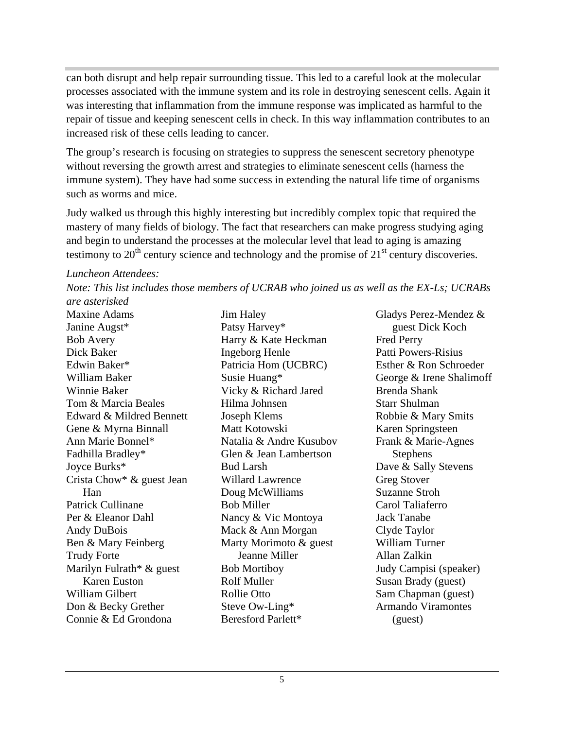can both disrupt and help repair surrounding tissue. This led to a careful look at the molecular processes associated with the immune system and its role in destroying senescent cells. Again it was interesting that inflammation from the immune response was implicated as harmful to the repair of tissue and keeping senescent cells in check. In this way inflammation contributes to an increased risk of these cells leading to cancer.

The group's research is focusing on strategies to suppress the senescent secretory phenotype without reversing the growth arrest and strategies to eliminate senescent cells (harness the immune system). They have had some success in extending the natural life time of organisms such as worms and mice.

Judy walked us through this highly interesting but incredibly complex topic that required the mastery of many fields of biology. The fact that researchers can make progress studying aging and begin to understand the processes at the molecular level that lead to aging is amazing testimony to  $20<sup>th</sup>$  century science and technology and the promise of  $21<sup>st</sup>$  century discoveries.

*Luncheon Attendees:*

*Note: This list includes those members of UCRAB who joined us as well as the EX-Ls; UCRABs are asterisked* 

Maxine Adams Gladys Perez-Mendez & Janine Augst\* **Example 3** Patsy Harvey\* The Search Search Search Search Search Search Search Search Search Search Search Search Search Search Search Search Search Search Search Search Search Search Search Search Search Sea Bob Avery **Example 3** Harry & Kate Heckman **Fred Perry** Dick Baker **South America Server Server Server Server Server Server Server Server Server Server Server Server Server Server Server Server Server Server Server Server Server Server Server Server Server Server Server Server** Edwin Baker\* **Exercis** Patricia Hom (UCBRC) Esther & Ron Schroeder William Baker George & Irene Shalimoff Winnie Baker Vicky & Richard Jared Tom & Marcia Beales Edward & Mildred Bennett Joseph Klems Gene & Myrna Binnall Matt Kotowski Ann Marie Bonnel\* Natalia & Andre Kusubov Frank & Marie-Agnes Fadhilla Bradley\* Glen & Jean Lambertson Stephens Joyce Burks\* Bud Larsh Dave & Sally Stevens Crista Chow\* & guest Jean Willard Lawrence Greg Stover Patrick Cullinane **Bob Miller Carol Taliaferro** Carol Taliaferro Per & Eleanor Dahl Nancy & Vic Montoya Jack Tanabe Andy DuBois Mack & Ann Morgan Clyde Taylor Ben & Mary Feinberg Marty Morimoto & guest William Turner Trudy Forte **South Example 3** Jeanne Miller **State Allah Zalkin** Marilyn Fulrath<sup>\*</sup> & guest Bob Mortiboy William Gilbert Sam Chapman (guest) Don & Becky Grether Steve Ow-Ling\* Connie & Ed Grondona

Han Doug McWilliams Suzanne Stroh Karen Euston Rolf Muller Susan Brady (guest) Patsy Harvey\* The Supersection of the Supersection of the Supersection of the Supersection of the Supersection of the Supersection of the Supersection of the Supersection of the Supersection of the Supersection of the Supe Harry & Kate Heckman Ingeborg Henle Patricia Hom (UCBRC) Susie Huang\* George & Irene Shalimoff Hilma Johnsen Joseph Klems Robbie & Mary Smits Natalia & Andre Kusubov Frank & Marie-Agnes Glen & Jean Lambertson Stephens Bud Larsh Dave & Sally Stevens Willard Lawrence Greg Stover Doug McWilliams Bob Miller Carol Taliaferro Nancy & Vic Montoya **Example 3** Jack Tanabe Mack & Ann Morgan Clyde Taylor Marty Morimoto & guest William Turner Bob Mortiboy **Bob Mortion** Judy Campisi (speaker) Rolf Muller Susan Brady (guest) Rollie Otto Sam Chapman (guest) Steve Ow-Ling\* The Armando Viramontes Beresford Parlett\* (guest)

Jim Haley Gladys Perez-Mendez & Karen Springsteen Jeanne Miller guest Dick Koch Fred Perry Patti Powers-Risius Esther & Ron Schroeder Brenda Shank Starr Shulman Karen Springsteen Frank & Marie-Agnes Stephens and the state of the state of the state of the state of the state of the state of the state of the state of the state of the state of the state of the state of the state of the state of the state of the state of t Dave & Sally Stevens Greg Stover Suzanne Stroh Carol Taliaferro Jack Tanabe Clyde Taylor William Turner Allan Zalkin Judy Campisi (speaker) Armando Viramontes (guest)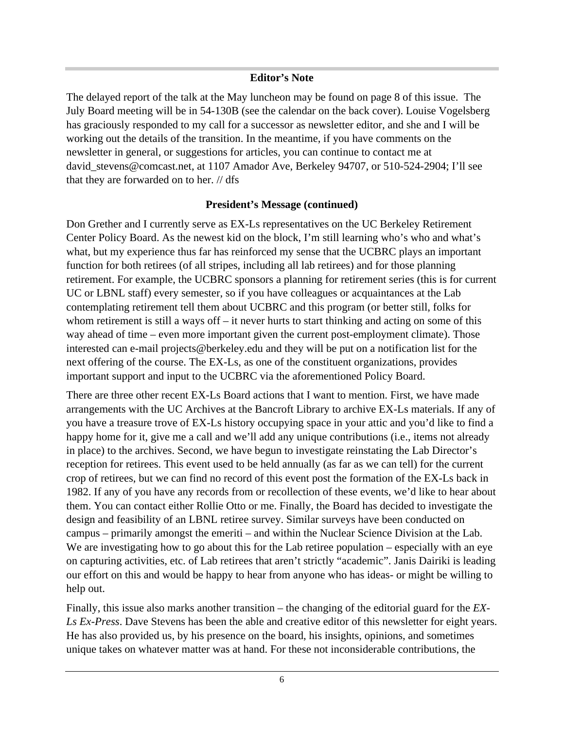#### **Editor's Note**

The delayed report of the talk at the May luncheon may be found on page 8 of this issue. The July Board meeting will be in 54-130B (see the calendar on the back cover). Louise Vogelsberg has graciously responded to my call for a successor as newsletter editor, and she and I will be working out the details of the transition. In the meantime, if you have comments on the newsletter in general, or suggestions for articles, you can continue to contact me at david\_stevens@comcast.net, at 1107 Amador Ave, Berkeley 94707, or 510-524-2904; I'll see that they are forwarded on to her. // dfs

#### **President's Message (continued)**

Don Grether and I currently serve as EX-Ls representatives on the UC Berkeley Retirement Center Policy Board. As the newest kid on the block, I'm still learning who's who and what's what, but my experience thus far has reinforced my sense that the UCBRC plays an important function for both retirees (of all stripes, including all lab retirees) and for those planning retirement. For example, the UCBRC sponsors a planning for retirement series (this is for current UC or LBNL staff) every semester, so if you have colleagues or acquaintances at the Lab contemplating retirement tell them about UCBRC and this program (or better still, folks for whom retirement is still a ways off – it never hurts to start thinking and acting on some of this way ahead of time – even more important given the current post-employment climate). Those interested can e-mail projects@berkeley.edu and they will be put on a notification list for the next offering of the course. The EX-Ls, as one of the constituent organizations, provides important support and input to the UCBRC via the aforementioned Policy Board.

There are three other recent EX-Ls Board actions that I want to mention. First, we have made arrangements with the UC Archives at the Bancroft Library to archive EX-Ls materials. If any of you have a treasure trove of EX-Ls history occupying space in your attic and you'd like to find a happy home for it, give me a call and we'll add any unique contributions (i.e., items not already in place) to the archives. Second, we have begun to investigate reinstating the Lab Director's reception for retirees. This event used to be held annually (as far as we can tell) for the current crop of retirees, but we can find no record of this event post the formation of the EX-Ls back in 1982. If any of you have any records from or recollection of these events, we'd like to hear about them. You can contact either Rollie Otto or me. Finally, the Board has decided to investigate the design and feasibility of an LBNL retiree survey. Similar surveys have been conducted on campus – primarily amongst the emeriti – and within the Nuclear Science Division at the Lab. We are investigating how to go about this for the Lab retiree population – especially with an eye on capturing activities, etc. of Lab retirees that aren't strictly "academic". Janis Dairiki is leading our effort on this and would be happy to hear from anyone who has ideas- or might be willing to help out. The contract of the contract of the contract of the contract of the contract of the contract of the contract of the contract of the contract of the contract of the contract of the contract of the contract of the

Finally, this issue also marks another transition – the changing of the editorial guard for the *EX- Ls Ex-Press*. Dave Stevens has been the able and creative editor of this newsletter for eight years. He has also provided us, by his presence on the board, his insights, opinions, and sometimes unique takes on whatever matter was at hand. For these not inconsiderable contributions, the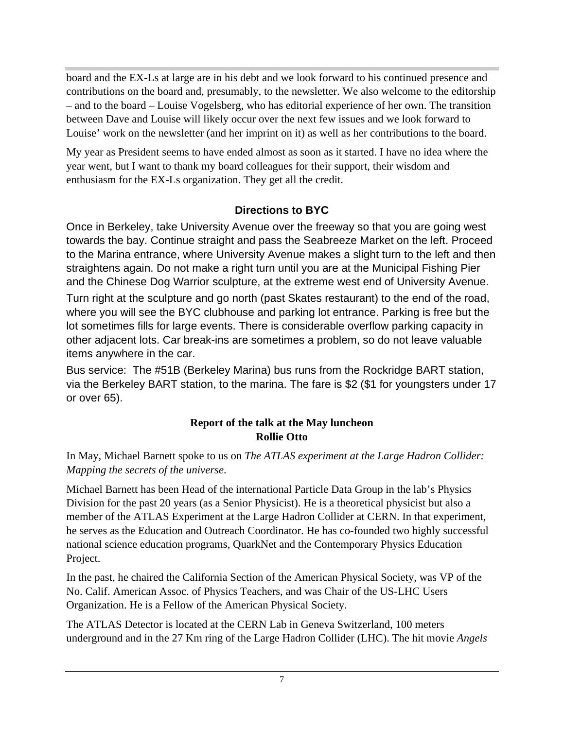board and the EX-Ls at large are in his debt and we look forward to his continued presence and contributions on the board and, presumably, to the newsletter. We also welcome to the editorship – and to the board – Louise Vogelsberg, who has editorial experience of her own. The transition between Dave and Louise will likely occur over the next few issues and we look forward to Louise' work on the newsletter (and her imprint on it) as well as her contributions to the board.

My year as President seems to have ended almost as soon as it started. I have no idea where the year went, but I want to thank my board colleagues for their support, their wisdom and enthusiasm for the EX-Ls organization. They get all the credit.

# **Directions to BYC**

Once in Berkeley, take University Avenue over the freeway so that you are going west towards the bay. Continue straight and pass the Seabreeze Market on the left. Proceed to the Marina entrance, where University Avenue makes a slight turn to the left and then straightens again. Do not make a right turn until you are at the Municipal Fishing Pier and the Chinese Dog Warrior sculpture, at the extreme west end of University Avenue.

Turn right at the sculpture and go north (past Skates restaurant) to the end of the road, where you will see the BYC clubhouse and parking lot entrance. Parking is free but the lot sometimes fills for large events. There is considerable overflow parking capacity in other adjacent lots. Car break-ins are sometimes a problem, so do not leave valuable items anywhere in the car.

Bus service: The #51B (Berkeley Marina) bus runs from the Rockridge BART station, via the Berkeley BART station, to the marina. The fare is \$2 (\$1 for youngsters under 17 or over 65).

#### **Report of the talk at the May luncheon Rollie Otto**

In May, Michael Barnett spoke to us on *The ATLAS experiment at the Large Hadron Collider:* 

*Mapping the secrets of the universe*. Michael Barnett has been Head of the international Particle Data Group in the lab's Physics Division for the past 20 years (as a Senior Physicist). He is a theoretical physicist but also a member of the ATLAS Experiment at the Large Hadron Collider at CERN. In that experiment, he serves as the Education and Outreach Coordinator. He has co-founded two highly successful national science education programs, QuarkNet and the Contemporary Physics Education Project.

In the past, he chaired the California Section of the American Physical Society, was VP of the No. Calif. American Assoc. of Physics Teachers, and was Chair of the US-LHC Users Organization. He is a Fellow of the American Physical Society.

The ATLAS Detector is located at the CERN Lab in Geneva Switzerland, 100 meters underground and in the 27 Km ring of the Large Hadron Collider (LHC). The hit movie *Angels*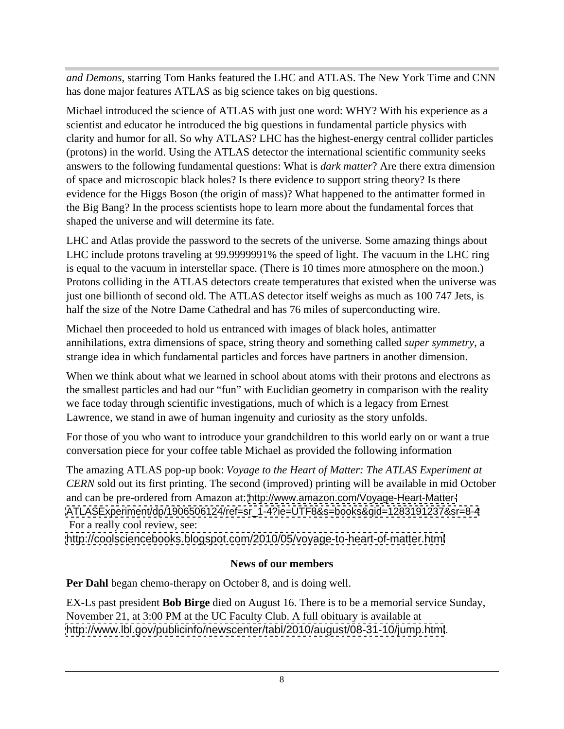*and Demons*, starring Tom Hanks featured the LHC and ATLAS. The New York Time and CNN has done major features ATLAS as big science takes on big questions.

Michael introduced the science of ATLAS with just one word: WHY? With his experience as a scientist and educator he introduced the big questions in fundamental particle physics with clarity and humor for all. So why ATLAS? LHC has the highest-energy central collider particles (protons) in the world. Using the ATLAS detector the international scientific community seeks answers to the following fundamental questions: What is *dark matter*? Are there extra dimension of space and microscopic black holes? Is there evidence to support string theory? Is there evidence for the Higgs Boson (the origin of mass)? What happened to the antimatter formed in the Big Bang? In the process scientists hope to learn more about the fundamental forces that shaped the universe and will determine its fate.

LHC and Atlas provide the password to the secrets of the universe. Some amazing things about LHC include protons traveling at 99.9999991% the speed of light. The vacuum in the LHC ring is equal to the vacuum in interstellar space. (There is 10 times more atmosphere on the moon.) Protons colliding in the ATLAS detectors create temperatures that existed when the universe was just one billionth of second old. The ATLAS detector itself weighs as much as 100 747 Jets, is half the size of the Notre Dame Cathedral and has 76 miles of superconducting wire.

Michael then proceeded to hold us entranced with images of black holes, antimatter annihilations, extra dimensions of space, string theory and something called *super symmetry*, a strange idea in which fundamental particles and forces have partners in another dimension.

When we think about what we learned in school about atoms with their protons and electrons as the smallest particles and had our "fun" with Euclidian geometry in comparison with the reality we face today through scientific investigations, much of which is a legacy from Ernest Lawrence, we stand in awe of human ingenuity and curiosity as the story unfolds.

For those of you who want to introduce your grandchildren to this world early on or want a true conversation piece for your coffee table Michael as provided the following information

The amazing ATLAS pop-up book: *Voyage to the Heart of Matter: The ATLAS Experiment at CERN* sold out its first printing. The second (improved) printing will be available in mid October and can be pre-ordered from Amazon at: <http://www.amazon.com/Voyage-Heart-Matter-> [ATLASExperiment/dp/1906506124/ref=sr\\_1-4?ie=UTF8&s=books&qid=1283191237&sr=8-4](ATLASExperiment/dp/1906506124/ref=sr_1-4?ie=UTF8&s=books&qid=1283191237&sr=8-4) For a really cool review, see:

<http://coolsciencebooks.blogspot.com/2010/05/voyage-to-heart-of-matter.html>

### **News of our members**

**Per Dahl** began chemo-therapy on October 8, and is doing well.

EX-Ls past president **Bob Birge** died on August 16. There is to be a memorial service Sunday, November 21, at 3:00 PM at the UC Faculty Club. A full obituary is available at <http://www.lbl.gov/publicinfo/newscenter/tabl/2010/august/08-31-10/jump.html>.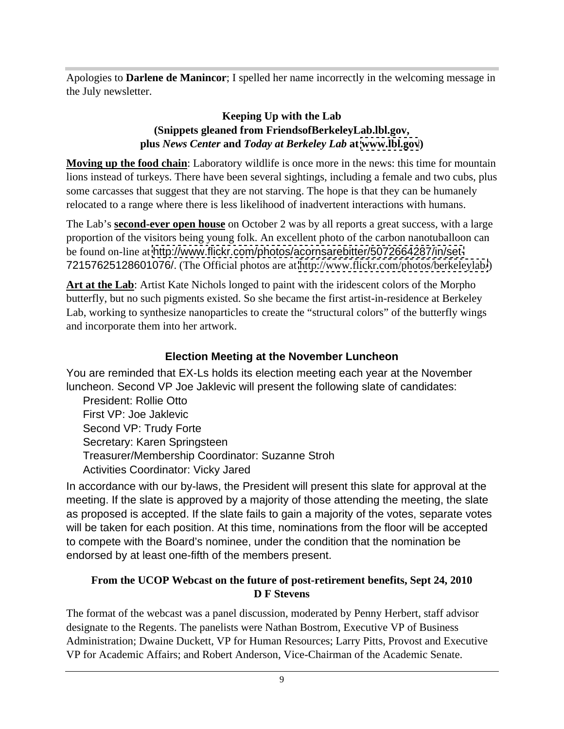Apologies to **Darlene de Manincor**; I spelled her name incorrectly in the welcoming message in the July newsletter.

#### **Keeping Up with the Lab (Snippets gleaned from FriendsofBerkeleyLab.lbl.gov, plus** *News Center* **and** *Today at Berkeley Lab* **at [www.lbl.gov](http://www.lbl.gov))**

**Moving up the food chain**: Laboratory wildlife is once more in the news: this time for mountain lions instead of turkeys. There have been several sightings, including a female and two cubs, plus some carcasses that suggest that they are not starving. The hope is that they can be humanely relocated to a range where there is less likelihood of inadvertent interactions with humans.

The Lab's **second-ever open house** on October 2 was by all reports a great success, with a large proportion of the visitors being young folk. An excellent photo of the carbon nanotuballoon can be found on-line at <http://www.flickr.com/photos/acornsarebitter/5072664287/in/set-> 72157625128601076/. (The Official photos are at<http://www.flickr.com/photos/berkeleylab/>)

**Art at the Lab**: Artist Kate Nichols longed to paint with the iridescent colors of the Morpho butterfly, but no such pigments existed. So she became the first artist-in-residence at Berkeley Lab, working to synthesize nanoparticles to create the "structural colors" of the butterfly wings and incorporate them into her artwork.

# **Election Meeting at the November Luncheon**

You are reminded that EX-Ls holds its election meeting each year at the November luncheon. Second VP Joe Jaklevic will present the following slate of candidates:

President: Rollie Otto First VP: Joe Jaklevic Second VP: Trudy Forte **Executive Second VP:** Trudy Forte **Executive Second VP:** Trudy Forte **Executive Second** VP: Trudy Forte **Executive Second** VP: Trudy Forte **Executive Second** VP: Trudy Forte **Executive Second** VP: T Secretary: Karen Springsteen Treasurer/Membership Coordinator: Suzanne Stroh Activities Coordinator: Vicky Jared

In accordance with our by-laws, the President will present this slate for approval at the meeting. If the slate is approved by a majority of those attending the meeting, the slate as proposed is accepted. If the slate fails to gain a majority of the votes, separate votes will be taken for each position. At this time, nominations from the floor will be accepted to compete with the Board's nominee, under the condition that the nomination be endorsed by at least one-fifth of the members present.

#### **From the UCOP Webcast on the future of post-retirement benefits, Sept 24, 2010 D F Stevens**

The format of the webcast was a panel discussion, moderated by Penny Herbert, staff advisor designate to the Regents. The panelists were Nathan Bostrom, Executive VP of Business Administration; Dwaine Duckett, VP for Human Resources; Larry Pitts, Provost and Executive VP for Academic Affairs; and Robert Anderson, Vice-Chairman of the Academic Senate.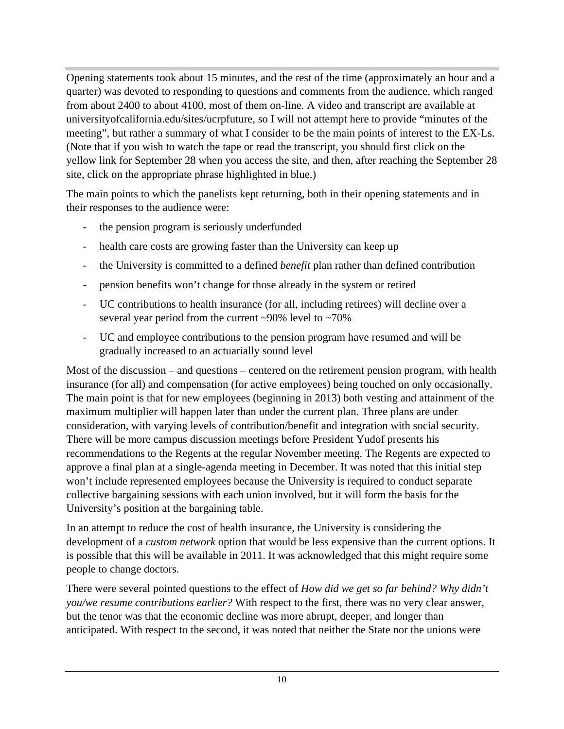Opening statements took about 15 minutes, and the rest of the time (approximately an hour and a quarter) was devoted to responding to questions and comments from the audience, which ranged from about 2400 to about 4100, most of them on-line. A video and transcript are available at universityofcalifornia.edu/sites/ucrpfuture, so I will not attempt here to provide "minutes of the meeting", but rather a summary of what I consider to be the main points of interest to the EX-Ls. (Note that if you wish to watch the tape or read the transcript, you should first click on the yellow link for September 28 when you access the site, and then, after reaching the September 28 site, click on the appropriate phrase highlighted in blue.)

The main points to which the panelists kept returning, both in their opening statements and in their responses to the audience were:

- the pension program is seriously underfunded
- health care costs are growing faster than the University can keep up
- the University is committed to a defined *benefit* plan rather than defined contribution
- pension benefits won't change for those already in the system or retired
- UC contributions to health insurance (for all, including retirees) will decline over a several year period from the current ~90% level to ~70%
- UC and employee contributions to the pension program have resumed and will be gradually increased to an actuarially sound level

Most of the discussion – and questions – centered on the retirement pension program, with health insurance (for all) and compensation (for active employees) being touched on only occasionally. The main point is that for new employees (beginning in 2013) both vesting and attainment of the maximum multiplier will happen later than under the current plan. Three plans are under consideration, with varying levels of contribution/benefit and integration with social security. There will be more campus discussion meetings before President Yudof presents his recommendations to the Regents at the regular November meeting. The Regents are expected to approve a final plan at a single-agenda meeting in December. It was noted that this initial step won't include represented employees because the University is required to conduct separate collective bargaining sessions with each union involved, but it will form the basis for the University's position at the bargaining table.

In an attempt to reduce the cost of health insurance, the University is considering the development of a *custom network* option that would be less expensive than the current options. It is possible that this will be available in 2011. It was acknowledged that this might require some people to change doctors.

There were several pointed questions to the effect of *How did we get so far behind? Why didn't you/we resume contributions earlier?* With respect to the first, there was no very clear answer, but the tenor was that the economic decline was more abrupt, deeper, and longer than anticipated. With respect to the second, it was noted that neither the State nor the unions were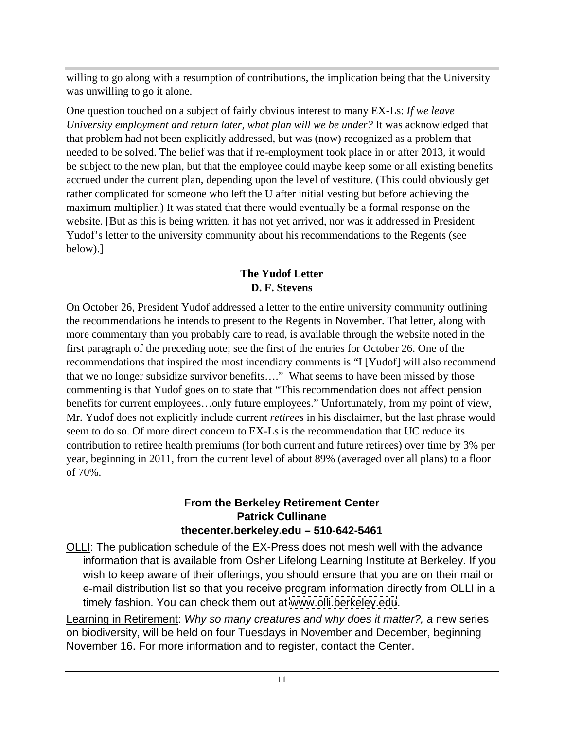willing to go along with a resumption of contributions, the implication being that the University was unwilling to go it alone.

One question touched on a subject of fairly obvious interest to many EX-Ls: *If we leave University employment and return later, what plan will we be under?* It was acknowledged that that problem had not been explicitly addressed, but was (now) recognized as a problem that needed to be solved. The belief was that if re-employment took place in or after 2013, it would be subject to the new plan, but that the employee could maybe keep some or all existing benefits accrued under the current plan, depending upon the level of vestiture. (This could obviously get rather complicated for someone who left the U after initial vesting but before achieving the maximum multiplier.) It was stated that there would eventually be a formal response on the website. [But as this is being written, it has not yet arrived, nor was it addressed in President Yudof's letter to the university community about his recommendations to the Regents (see below).]

## **The Yudof Letter D. F. Stevens**

On October 26, President Yudof addressed a letter to the entire university community outlining the recommendations he intends to present to the Regents in November. That letter, along with more commentary than you probably care to read, is available through the website noted in the first paragraph of the preceding note; see the first of the entries for October 26. One of the recommendations that inspired the most incendiary comments is "I [Yudof] will also recommend that we no longer subsidize survivor benefits…." What seems to have been missed by those commenting is that Yudof goes on to state that "This recommendation does not affect pension benefits for current employees…only future employees." Unfortunately, from my point of view, Mr. Yudof does not explicitly include current *retirees* in his disclaimer, but the last phrase would seem to do so. Of more direct concern to EX-Ls is the recommendation that UC reduce its contribution to retiree health premiums (for both current and future retirees) over time by 3% per year, beginning in 2011, from the current level of about 89% (averaged over all plans) to a floor of 70%.

#### **From the Berkeley Retirement Center Patrick Cullinane thecenter.berkeley.edu – 510-642-5461**

OLLI: The publication schedule of the EX-Press does not mesh well with the advance information that is available from Osher Lifelong Learning Institute at Berkeley. If you wish to keep aware of their offerings, you should ensure that you are on their mail or e-mail distribution list so that you receive program information directly from OLLI in a timely fashion. You can check them out at [www.olli.berkeley.edu](http://www.olli.berkeley.edu).

Learning in Retirement: Why so many creatures and why does it matter?, a new series on biodiversity, will be held on four Tuesdays in November and December, beginning November 16. For more information and to register, contact the Center.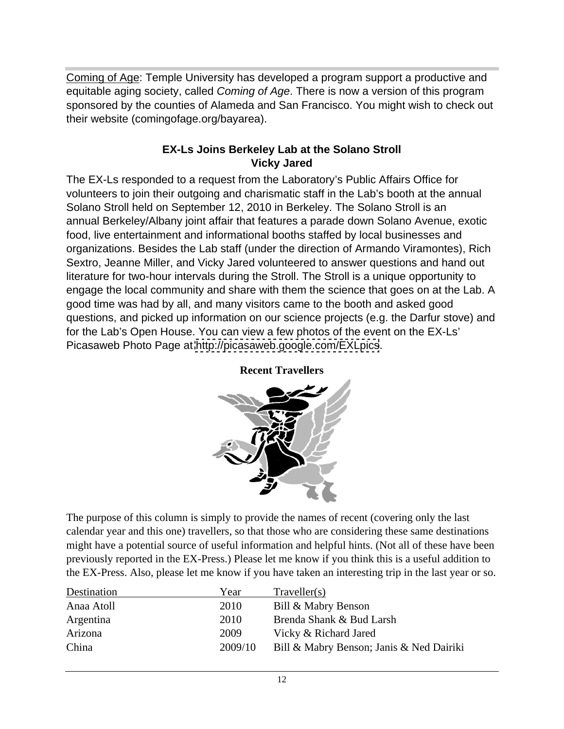Coming of Age: Temple University has developed a program support a productive and equitable aging society, called Coming of Age. There is now a version of this program sponsored by the counties of Alameda and San Francisco. You might wish to check out their website (comingofage.org/bayarea).

#### **EX-Ls Joins Berkeley Lab at the Solano Stroll Vicky Jared**

The EX-Ls responded to a request from the Laboratory's Public Affairs Office for volunteers to join their outgoing and charismatic staff in the Lab's booth at the annual Solano Stroll held on September 12, 2010 in Berkeley. The Solano Stroll is an annual Berkeley/Albany joint affair that features a parade down Solano Avenue, exotic food, live entertainment and informational booths staffed by local businesses and organizations. Besides the Lab staff (under the direction of Armando Viramontes), Rich Sextro, Jeanne Miller, and Vicky Jared volunteered to answer questions and hand out literature for two-hour intervals during the Stroll. The Stroll is a unique opportunity to engage the local community and share with them the science that goes on at the Lab. A good time was had by all, and many visitors came to the booth and asked good questions, and picked up information on our science projects (e.g. the Darfur stove) and for the Lab's Open House. You can view a few photos of the event on the EX-Ls' Picasaweb Photo Page at<http://picasaweb.google.com/EXLpics>.



**Recent Travellers**

The purpose of this column is simply to provide the names of recent (covering only the last calendar year and this one) travellers, so that those who are considering these same destinations might have a potential source of useful information and helpful hints. (Not all of these have been previously reported in the EX-Press.) Please let me know if you think this is a useful addition to the EX-Press. Also, please let me know if you have taken an interesting trip in the last year or so.

| Destination | Year    | Traveller(s)                             |
|-------------|---------|------------------------------------------|
| Anaa Atoll  | 2010    | Bill & Mabry Benson                      |
| Argentina   | 2010    | Brenda Shank & Bud Larsh                 |
| Arizona     | 2009    | Vicky & Richard Jared                    |
| China       | 2009/10 | Bill & Mabry Benson; Janis & Ned Dairiki |
|             |         |                                          |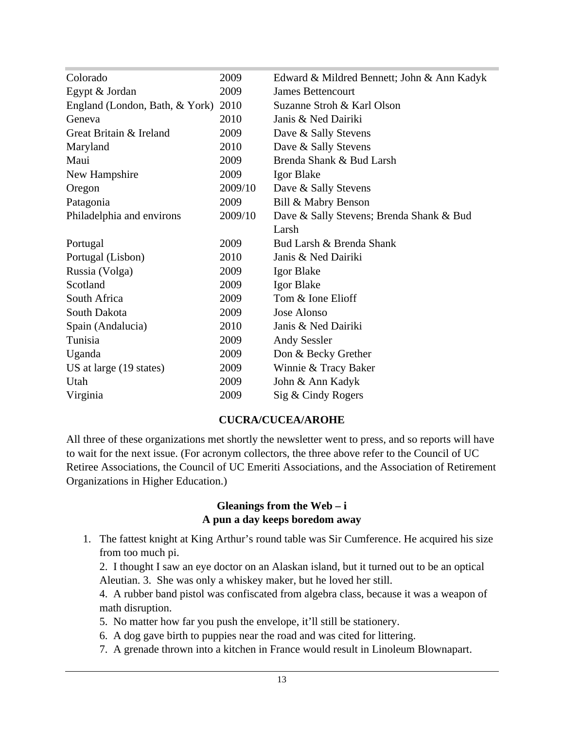| Colorado                            | 2009    | Edward & Mildred Bennett; John & Ann Kadyk |
|-------------------------------------|---------|--------------------------------------------|
| Egypt & Jordan                      | 2009    | <b>James Bettencourt</b>                   |
| England (London, Bath, & York) 2010 |         | Suzanne Stroh & Karl Olson                 |
| Geneva                              | 2010    | Janis & Ned Dairiki                        |
| Great Britain & Ireland             | 2009    | Dave & Sally Stevens                       |
| Maryland                            | 2010    | Dave & Sally Stevens                       |
| Maui                                | 2009    | Brenda Shank & Bud Larsh                   |
| New Hampshire                       | 2009    | Igor Blake                                 |
| Oregon                              | 2009/10 | Dave & Sally Stevens                       |
| Patagonia                           | 2009    | Bill & Mabry Benson                        |
| Philadelphia and environs           | 2009/10 | Dave & Sally Stevens; Brenda Shank & Bud   |
|                                     |         | Larsh                                      |
| Portugal                            | 2009    | Bud Larsh & Brenda Shank                   |
| Portugal (Lisbon)                   | 2010    | Janis & Ned Dairiki                        |
| Russia (Volga)                      | 2009    | <b>Igor Blake</b>                          |
| Scotland                            | 2009    | <b>Igor Blake</b>                          |
| South Africa                        | 2009    | Tom & Ione Elioff                          |
| South Dakota                        | 2009    | Jose Alonso                                |
| Spain (Andalucia)                   | 2010    | Janis & Ned Dairiki                        |
| Tunisia                             | 2009    | <b>Andy Sessler</b>                        |
| Uganda                              | 2009    | Don & Becky Grether                        |
| US at large (19 states)             | 2009    | Winnie & Tracy Baker                       |
| Utah                                | 2009    | John & Ann Kadyk                           |
| Virginia                            | 2009    | Sig & Cindy Rogers                         |

#### **CUCRA/CUCEA/AROHE**

All three of these organizations met shortly the newsletter went to press, and so reports will have to wait for the next issue. (For acronym collectors, the three above refer to the Council of UC Retiree Associations, the Council of UC Emeriti Associations, and the Association of Retirement Organizations in Higher Education.)

#### **Gleanings from the Web – i A pun a day keeps boredom away**

1. The fattest knight at King Arthur's round table was Sir Cumference. He acquired his size from too much pi.

2. I thought I saw an eye doctor on an Alaskan island, but it turned out to be an optical Aleutian. 3. She was only a whiskey maker, but he loved her still.

4. A rubber band pistol was confiscated from algebra class, because it was a weapon of math disruption.

- 5. No matter how far you push the envelope, it'll still be stationery.
- 6. A dog gave birth to puppies near the road and was cited for littering.
- 7. A grenade thrown into a kitchen in France would result in Linoleum Blownapart.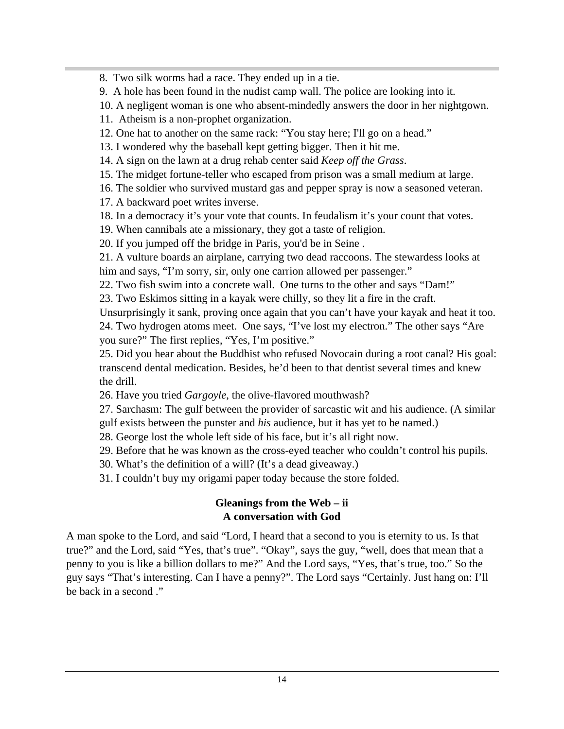8. Two silk worms had a race. They ended up in a tie.

9. A hole has been found in the nudist camp wall. The police are looking into it.

10. A negligent woman is one who absent-mindedly answers the door in her nightgown.

11. Atheism is a non-prophet organization.

- 12. One hat to another on the same rack: "You stay here; I'll go on a head."
- 13. I wondered why the baseball kept getting bigger. Then it hit me.
- 14. A sign on the lawn at a drug rehab center said *Keep off the Grass*.
- 15. The midget fortune-teller who escaped from prison was a small medium at large.
- 16. The soldier who survived mustard gas and pepper spray is now a seasoned veteran.
- 17. A backward poet writes inverse.
- 18. In a democracy it's your vote that counts. In feudalism it's your count that votes.
- 19. When cannibals ate a missionary, they got a taste of religion.

20. If you jumped off the bridge in Paris, you'd be in Seine .

21. A vulture boards an airplane, carrying two dead raccoons. The stewardess looks at him and says, "I'm sorry, sir, only one carrion allowed per passenger."

22. Two fish swim into a concrete wall. One turns to the other and says "Dam!"

23. Two Eskimos sitting in a kayak were chilly, so they lit a fire in the craft.

Unsurprisingly it sank, proving once again that you can't have your kayak and heat it too. 24. Two hydrogen atoms meet. One says, "I've lost my electron." The other says "Are you sure?" The first replies, "Yes, I'm positive."

25. Did you hear about the Buddhist who refused Novocain during a root canal? His goal: transcend dental medication. Besides, he'd been to that dentist several times and knew the drill.

- 26. Have you tried *Gargoyle*, the olive-flavored mouthwash?
- 27. Sarchasm: The gulf between the provider of sarcastic wit and his audience. (A similar
- gulf exists between the punster and *his* audience, but it has yet to be named.)
- 28. George lost the whole left side of his face, but it's all right now.

29. Before that he was known as the cross-eyed teacher who couldn't control his pupils.

- 30. What's the definition of a will? (It's a dead giveaway.)
- 31. I couldn't buy my origami paper today because the store folded.

### **Gleanings from the Web – ii A conversation with God**

A man spoke to the Lord, and said "Lord, I heard that a second to you is eternity to us. Is that true?" and the Lord, said "Yes, that's true". "Okay", says the guy, "well, does that mean that a penny to you is like a billion dollars to me?" And the Lord says, "Yes, that's true, too." So the guy says "That's interesting. Can I have a penny?". The Lord says "Certainly. Just hang on: I'll be back in a second ."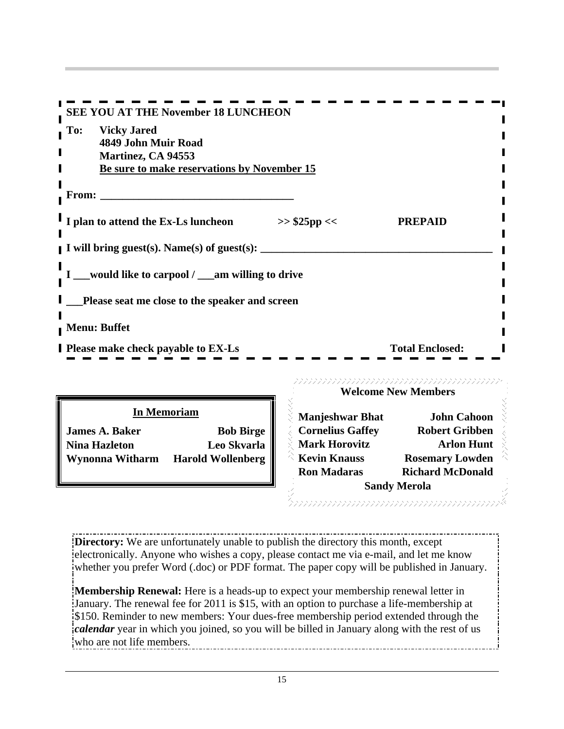| SEE YOU AT THE November 18 LUNCHEON                                       |                                                                       |  |
|---------------------------------------------------------------------------|-----------------------------------------------------------------------|--|
| <b>Vicky Jared</b><br>$\overline{\phantom{a}}$ To:<br>4849 John Muir Road |                                                                       |  |
| Martinez, CA 94553<br>Be sure to make reservations by November 15         |                                                                       |  |
| From:                                                                     |                                                                       |  |
| I I plan to attend the Ex-Ls luncheon<br>>> \$25pp <<                     | <b>PREPAID</b>                                                        |  |
| I will bring guest(s). Name(s) of guest(s):                               |                                                                       |  |
| __would like to carpool / __am willing to drive                           |                                                                       |  |
| _Please seat me close to the speaker and screen                           |                                                                       |  |
| Menu: Buffet                                                              |                                                                       |  |
| <b>I</b> Please make check payable to EX-Ls                               | <b>Total Enclosed:</b>                                                |  |
|                                                                           | <u> DINININININININININININININININ</u><br><b>Welcome New Members</b> |  |

| <b>James A. Baker</b> | <b>Bob Birge</b>                  |
|-----------------------|-----------------------------------|
| <b>Nina Hazleton</b>  | Leo Skvarla                       |
|                       | Wynonna Witharm Harold Wollenberg |

|                        | n Memoriam        | Manjeshwar Bhat         | <b>John Cahoon</b>      |  |
|------------------------|-------------------|-------------------------|-------------------------|--|
| <b>James A. Baker</b>  | <b>Bob Birge</b>  | <b>Cornelius Gaffey</b> | <b>Robert Gribben</b>   |  |
| <b>Nina Hazleton</b>   | Leo Skvarla       | <b>Mark Horovitz</b>    | <b>Arlon Hunt</b>       |  |
| <b>Wynonna Witharm</b> | Harold Wollenberg | <b>Kevin Knauss</b>     | <b>Rosemary Lowden</b>  |  |
|                        |                   | <b>Ron Madaras</b>      | <b>Richard McDonald</b> |  |
|                        |                   |                         | <b>Sandy Merola</b>     |  |

**Directory:** We are unfortunately unable to publish the directory this month, except electronically. Anyone who wishes a copy, please contact me via e-mail, and let me know whether you prefer Word (.doc) or PDF format. The paper copy will be published in January.

**Membership Renewal:** Here is a heads-up to expect your membership renewal letter in January. The renewal fee for 2011 is \$15, with an option to purchase a life-membership at \$150. Reminder to new members: Your dues-free membership period extended through the *calendar* year in which you joined, so you will be billed in January along with the rest of us who are not life members.